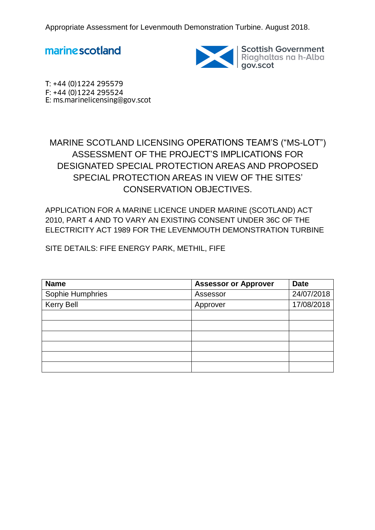marine scotland



Scottish Government<br>Riaghaltas na h-Alba<br>gov.scot

T: +44 (0)1224 295579 F: +44 (0)1224 295524 E: ms.marinelicensing@gov.scot

# MARINE SCOTLAND LICENSING OPERATIONS TEAM'S ("MS-LOT") ASSESSMENT OF THE PROJECT'S IMPLICATIONS FOR DESIGNATED SPECIAL PROTECTION AREAS AND PROPOSED SPECIAL PROTECTION AREAS IN VIEW OF THE SITES' CONSERVATION OBJECTIVES.

APPLICATION FOR A MARINE LICENCE UNDER MARINE (SCOTLAND) ACT 2010, PART 4 AND TO VARY AN EXISTING CONSENT UNDER 36C OF THE ELECTRICITY ACT 1989 FOR THE LEVENMOUTH DEMONSTRATION TURBINE

SITE DETAILS: FIFE ENERGY PARK, METHIL, FIFE

| <b>Name</b>       | <b>Assessor or Approver</b> | <b>Date</b> |
|-------------------|-----------------------------|-------------|
| Sophie Humphries  | Assessor                    | 24/07/2018  |
| <b>Kerry Bell</b> | Approver                    | 17/08/2018  |
|                   |                             |             |
|                   |                             |             |
|                   |                             |             |
|                   |                             |             |
|                   |                             |             |
|                   |                             |             |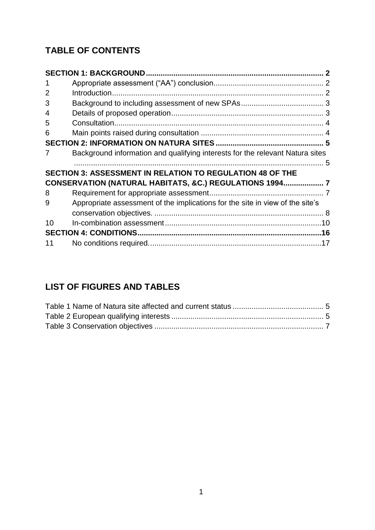# **TABLE OF CONTENTS**

| 1  |                                                                               |  |
|----|-------------------------------------------------------------------------------|--|
| 2  |                                                                               |  |
| 3  |                                                                               |  |
| 4  |                                                                               |  |
| 5  |                                                                               |  |
| 6  |                                                                               |  |
|    |                                                                               |  |
| 7  | Background information and qualifying interests for the relevant Natura sites |  |
|    |                                                                               |  |
|    |                                                                               |  |
|    | <b>SECTION 3: ASSESSMENT IN RELATION TO REGULATION 48 OF THE</b>              |  |
|    | CONSERVATION (NATURAL HABITATS, &C.) REGULATIONS 1994 7                       |  |
| 8  |                                                                               |  |
| 9  | Appropriate assessment of the implications for the site in view of the site's |  |
|    |                                                                               |  |
| 10 |                                                                               |  |
|    |                                                                               |  |

# **LIST OF FIGURES AND TABLES**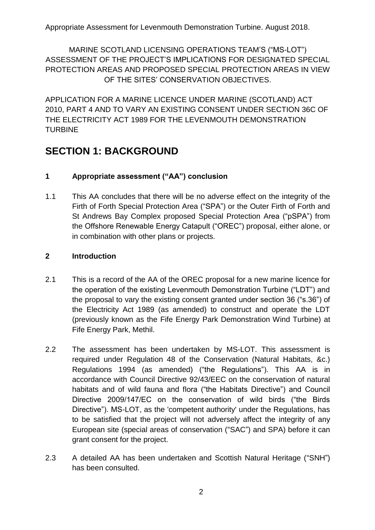MARINE SCOTLAND LICENSING OPERATIONS TEAM'S ("MS-LOT") ASSESSMENT OF THE PROJECT'S IMPLICATIONS FOR DESIGNATED SPECIAL PROTECTION AREAS AND PROPOSED SPECIAL PROTECTION AREAS IN VIEW OF THE SITES' CONSERVATION OBJECTIVES.

APPLICATION FOR A MARINE LICENCE UNDER MARINE (SCOTLAND) ACT 2010, PART 4 AND TO VARY AN EXISTING CONSENT UNDER SECTION 36C OF THE ELECTRICITY ACT 1989 FOR THE LEVENMOUTH DEMONSTRATION TURBINE

# <span id="page-2-0"></span>**SECTION 1: BACKGROUND**

# <span id="page-2-1"></span>**1 Appropriate assessment ("AA") conclusion**

1.1 This AA concludes that there will be no adverse effect on the integrity of the Firth of Forth Special Protection Area ("SPA") or the Outer Firth of Forth and St Andrews Bay Complex proposed Special Protection Area ("pSPA") from the Offshore Renewable Energy Catapult ("OREC") proposal, either alone, or in combination with other plans or projects.

## <span id="page-2-2"></span>**2 Introduction**

- 2.1 This is a record of the AA of the OREC proposal for a new marine licence for the operation of the existing Levenmouth Demonstration Turbine ("LDT") and the proposal to vary the existing consent granted under section 36 ("s.36") of the Electricity Act 1989 (as amended) to construct and operate the LDT (previously known as the Fife Energy Park Demonstration Wind Turbine) at Fife Energy Park, Methil.
- 2.2 The assessment has been undertaken by MS-LOT. This assessment is required under Regulation 48 of the Conservation (Natural Habitats, &c.) Regulations 1994 (as amended) ("the Regulations"). This AA is in accordance with Council Directive 92/43/EEC on the conservation of natural habitats and of wild fauna and flora ("the Habitats Directive") and Council Directive 2009/147/EC on the conservation of wild birds ("the Birds Directive"). MS-LOT, as the 'competent authority' under the Regulations, has to be satisfied that the project will not adversely affect the integrity of any European site (special areas of conservation ("SAC") and SPA) before it can grant consent for the project.
- 2.3 A detailed AA has been undertaken and Scottish Natural Heritage ("SNH") has been consulted.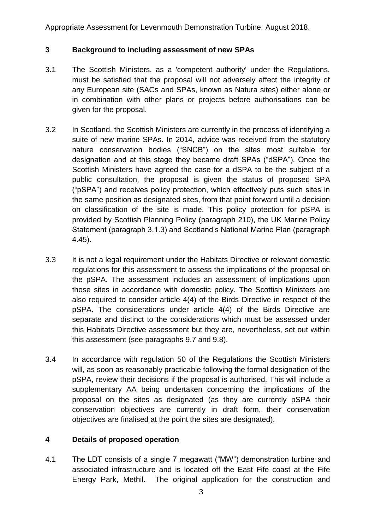### <span id="page-3-0"></span>**3 Background to including assessment of new SPAs**

- 3.1 The Scottish Ministers, as a 'competent authority' under the Regulations, must be satisfied that the proposal will not adversely affect the integrity of any European site (SACs and SPAs, known as Natura sites) either alone or in combination with other plans or projects before authorisations can be given for the proposal.
- 3.2 In Scotland, the Scottish Ministers are currently in the process of identifying a suite of new marine SPAs. In 2014, advice was received from the statutory nature conservation bodies ("SNCB") on the sites most suitable for designation and at this stage they became draft SPAs ("dSPA"). Once the Scottish Ministers have agreed the case for a dSPA to be the subject of a public consultation, the proposal is given the status of proposed SPA ("pSPA") and receives policy protection, which effectively puts such sites in the same position as designated sites, from that point forward until a decision on classification of the site is made. This policy protection for pSPA is provided by Scottish Planning Policy (paragraph 210), the UK Marine Policy Statement (paragraph 3.1.3) and Scotland's National Marine Plan (paragraph 4.45).
- 3.3 It is not a legal requirement under the Habitats Directive or relevant domestic regulations for this assessment to assess the implications of the proposal on the pSPA. The assessment includes an assessment of implications upon those sites in accordance with domestic policy. The Scottish Ministers are also required to consider article 4(4) of the Birds Directive in respect of the pSPA. The considerations under article 4(4) of the Birds Directive are separate and distinct to the considerations which must be assessed under this Habitats Directive assessment but they are, nevertheless, set out within this assessment (see paragraphs 9.7 and 9.8).
- 3.4 In accordance with regulation 50 of the Regulations the Scottish Ministers will, as soon as reasonably practicable following the formal designation of the pSPA, review their decisions if the proposal is authorised. This will include a supplementary AA being undertaken concerning the implications of the proposal on the sites as designated (as they are currently pSPA their conservation objectives are currently in draft form, their conservation objectives are finalised at the point the sites are designated).

## <span id="page-3-1"></span>**4 Details of proposed operation**

4.1 The LDT consists of a single 7 megawatt ("MW") demonstration turbine and associated infrastructure and is located off the East Fife coast at the Fife Energy Park, Methil. The original application for the construction and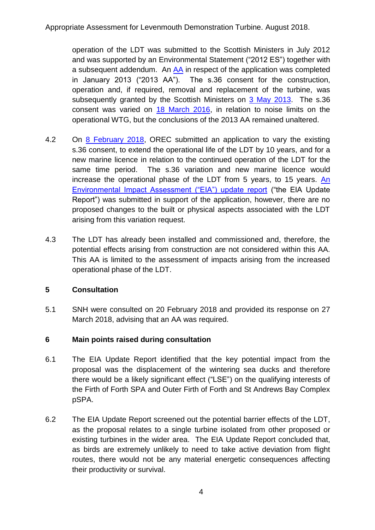operation of the LDT was submitted to the Scottish Ministers in July 2012 and was supported by an Environmental Statement ("2012 ES") together with a subsequent addendum. An [AA](http://www.gov.scot/Topics/marine/Licensing/marine/scoping/FifeEnergyPark/AppropriateAssessment) in respect of the application was completed in January 2013 ("2013 AA"). The s.36 consent for the construction, operation and, if required, removal and replacement of the turbine, was subsequently granted by the Scottish Ministers on [3 May 2013.](http://www.gov.scot/Topics/marine/Licensing/marine/scoping/FifeEnergyPark/DecisionLetter) The s.36 consent was varied on [18 March 2016,](http://www.gov.scot/Topics/marine/Licensing/marine/scoping/FifeEnergyPark/FEPODWTS36VariationConsent) in relation to noise limits on the operational WTG, but the conclusions of the 2013 AA remained unaltered.

- 4.2 On [8 February 2018,](http://www.gov.scot/Resource/0053/00531574.pdf) OREC submitted an application to vary the existing s.36 consent, to extend the operational life of the LDT by 10 years, and for a new marine licence in relation to the continued operation of the LDT for the same time period. The s.36 variation and new marine licence would increase the operational phase of the LDT from 5 years, to 15 years. [An](http://www.gov.scot/Resource/0053/00531534.pdf)  [Environmental Impact Assessment \("EIA"\) update report](http://www.gov.scot/Resource/0053/00531534.pdf) ("the EIA Update Report") was submitted in support of the application, however, there are no proposed changes to the built or physical aspects associated with the LDT arising from this variation request.
- 4.3 The LDT has already been installed and commissioned and, therefore, the potential effects arising from construction are not considered within this AA. This AA is limited to the assessment of impacts arising from the increased operational phase of the LDT.

# <span id="page-4-0"></span>**5 Consultation**

5.1 SNH were consulted on 20 February 2018 and provided its response on 27 March 2018, advising that an AA was required.

# <span id="page-4-1"></span>**6 Main points raised during consultation**

- 6.1 The EIA Update Report identified that the key potential impact from the proposal was the displacement of the wintering sea ducks and therefore there would be a likely significant effect ("LSE") on the qualifying interests of the Firth of Forth SPA and Outer Firth of Forth and St Andrews Bay Complex pSPA.
- 6.2 The EIA Update Report screened out the potential barrier effects of the LDT, as the proposal relates to a single turbine isolated from other proposed or existing turbines in the wider area. The EIA Update Report concluded that, as birds are extremely unlikely to need to take active deviation from flight routes, there would not be any material energetic consequences affecting their productivity or survival.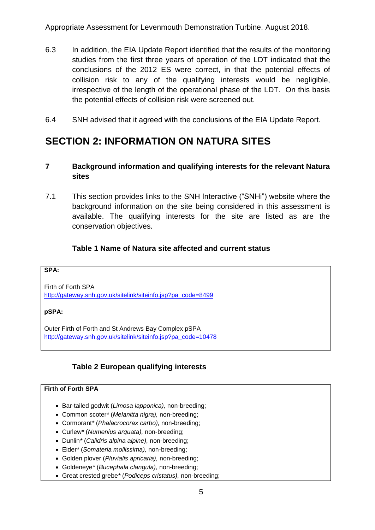- 6.3 In addition, the EIA Update Report identified that the results of the monitoring studies from the first three years of operation of the LDT indicated that the conclusions of the 2012 ES were correct, in that the potential effects of collision risk to any of the qualifying interests would be negligible, irrespective of the length of the operational phase of the LDT. On this basis the potential effects of collision risk were screened out.
- 6.4 SNH advised that it agreed with the conclusions of the EIA Update Report.

# <span id="page-5-0"></span>**SECTION 2: INFORMATION ON NATURA SITES**

# <span id="page-5-1"></span>**7 Background information and qualifying interests for the relevant Natura sites**

7.1 This section provides links to the SNH Interactive ("SNHi") website where the background information on the site being considered in this assessment is available. The qualifying interests for the site are listed as are the conservation objectives.

# **Table 1 Name of Natura site affected and current status**

#### <span id="page-5-2"></span>**SPA:**

Firth of Forth SPA [http://gateway.snh.gov.uk/sitelink/siteinfo.jsp?pa\\_code=8499](http://gateway.snh.gov.uk/sitelink/siteinfo.jsp?pa_code=8499)

### **pSPA:**

Outer Firth of Forth and St Andrews Bay Complex pSPA [http://gateway.snh.gov.uk/sitelink/siteinfo.jsp?pa\\_code=10478](http://gateway.snh.gov.uk/sitelink/siteinfo.jsp?pa_code=10478)

# **Table 2 European qualifying interests**

### <span id="page-5-3"></span>**Firth of Forth SPA**

- Bar-tailed godwit (*Limosa lapponica),* non-breeding;
- Common scoter*\** (*Melanitta nigra),* non-breeding;
- Cormorant*\** (*Phalacrocorax carbo),* non-breeding;
- Curlew*\** (*Numenius arquata),* non-breeding;
- Dunlin*\** (*Calidris alpina alpine),* non-breeding;
- Eider*\** (*Somateria mollissima),* non-breeding;
- Golden plover (*Pluvialis apricaria),* non-breeding;
- Goldeneye*\** (*Bucephala clangula),* non-breeding;
- Great crested grebe*\** (*Podiceps cristatus),* non-breeding;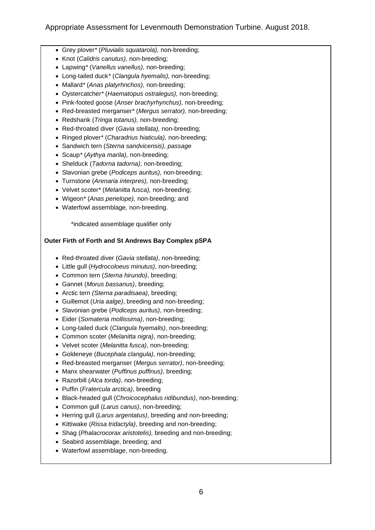- Grey plover*\** (*Pluvialis squatarola),* non-breeding;
- Knot (*Calidris canutus),* non-breeding;
- Lapwing*\** (*Vanellus vanellus),* non-breeding;
- Long-tailed duck*\** (*Clangula hyemalis),* non-breeding;
- Mallard*\** (*Anas platyrhnchos),* non-breeding;
- Oystercatcher*\** (*Haematopus ostralegus),* non-breeding;
- Pink-footed goose (*Anser brachyrhynchus),* non-breeding;
- Red-breasted merganser*\** (*Mergus serrator),* non-breeding;
- Redshank (*Tringa totanus),* non-breeding;
- Red-throated diver (*Gavia stellata),* non-breeding;
- Ringed plover*\** (*Charadrius hiaticula),* non-breeding;
- Sandwich tern (*Sterna sandvicensis), passage*
- Scaup*\** (*Aythya marila),* non-breeding;
- Shelduck (*Tadorna tadorna),* non-breeding;
- Slavonian grebe (*Podiceps auritus),* non-breeding;
- Turnstone (*Arenaria interpres),* non-breeding;
- Velvet scoter*\** (*Melanitta fusca),* non-breeding;
- Wigeon*\** (*Anas penelope),* non-breeding; and
- Waterfowl assemblage*,* non-breeding.

\*indicated assemblage qualifier only

#### **Outer Firth of Forth and St Andrews Bay Complex pSPA**

- Red-throated diver (*Gavia stellata)*, non-breeding;
- Little gull (*Hydrocoloeus minutus)*, non-breeding;
- Common tern (*Sterna hirundo)*, breeding;
- Gannet (*Morus bassanus)*, breeding;
- Arctic tern *(Sterna paradisaea)*, breeding;
- Guillemot (*Uria aalge)*, breeding and non-breeding;
- Slavonian grebe (*Podiceps auritus)*, non-breeding;
- Eider (*Somateria mollissima)*, non-breeding;
- Long-tailed duck (*Clangula hyemalis)*, non-breeding;
- Common scoter (*Melanitta nigra)*, non-breeding;
- Velvet scoter (*Melanitta fusca)*, non-breeding;
- Goldeneye (*Bucephala clangula)*, non-breeding;
- Red-breasted merganser (*Mergus serrator)*, non-breeding;
- Manx shearwater (*Puffinus puffinus)*, breeding;
- Razorbill (*Alca torda)*, non-breeding;
- Puffin (*Fratercula arctica)*, breeding
- Black-headed gull (*Chroicocephalus ridibundus)*, non-breeding;
- Common gull (*Larus canus)*, non-breeding;
- Herring gull (*Larus argentatus)*, breeding and non-breeding;
- Kittiwake (*Rissa tridactyla)*, breeding and non-breeding;
- Shag (*Phalacrocorax aristotelis),* breeding and non-breeding;
- Seabird assemblage, breeding; and
- Waterfowl assemblage, non-breeding.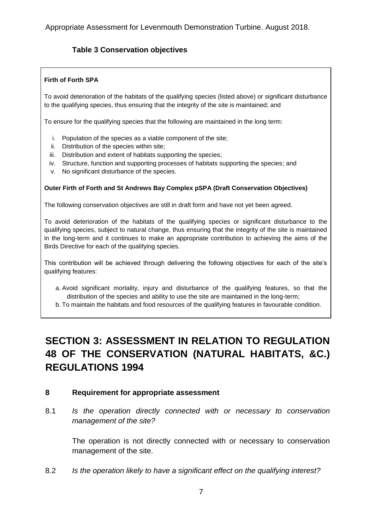# <span id="page-7-2"></span>**Table 3 Conservation objectives**

#### **Firth of Forth SPA**

To avoid deterioration of the habitats of the qualifying species (listed above) or significant disturbance to the qualifying species, thus ensuring that the integrity of the site is maintained; and

To ensure for the qualifying species that the following are maintained in the long term:

- i. Population of the species as a viable component of the site;
- ii. Distribution of the species within site;
- iii. Distribution and extent of habitats supporting the species;
- iv. Structure, function and supporting processes of habitats supporting the species; and
- v. No significant disturbance of the species.

#### **Outer Firth of Forth and St Andrews Bay Complex pSPA (Draft Conservation Objectives)**

The following conservation objectives are still in draft form and have not yet been agreed.

To avoid deterioration of the habitats of the qualifying species or significant disturbance to the qualifying species, subject to natural change, thus ensuring that the integrity of the site is maintained in the long-term and it continues to make an appropriate contribution to achieving the aims of the Birds Directive for each of the qualifying species.

This contribution will be achieved through delivering the following objectives for each of the site's qualifying features:

a. Avoid significant mortality, injury and disturbance of the qualifying features, so that the distribution of the species and ability to use the site are maintained in the long-term;

b. To maintain the habitats and food resources of the qualifying features in favourable condition.

# <span id="page-7-0"></span>**SECTION 3: ASSESSMENT IN RELATION TO REGULATION 48 OF THE CONSERVATION (NATURAL HABITATS, &C.) REGULATIONS 1994**

### <span id="page-7-1"></span>**8 Requirement for appropriate assessment**

8.1 *Is the operation directly connected with or necessary to conservation management of the site?* 

The operation is not directly connected with or necessary to conservation management of the site.

8.2 *Is the operation likely to have a significant effect on the qualifying interest?*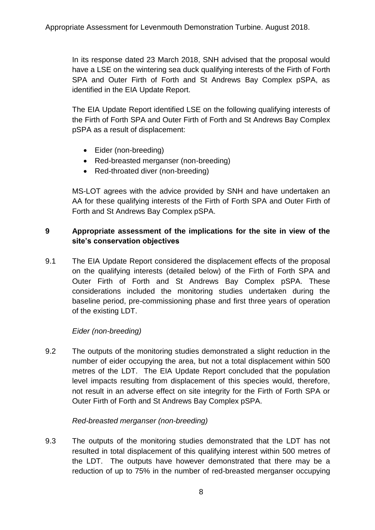In its response dated 23 March 2018, SNH advised that the proposal would have a LSE on the wintering sea duck qualifying interests of the Firth of Forth SPA and Outer Firth of Forth and St Andrews Bay Complex pSPA, as identified in the EIA Update Report.

The EIA Update Report identified LSE on the following qualifying interests of the Firth of Forth SPA and Outer Firth of Forth and St Andrews Bay Complex pSPA as a result of displacement:

- Eider (non-breeding)
- Red-breasted merganser (non-breeding)
- Red-throated diver (non-breeding)

MS-LOT agrees with the advice provided by SNH and have undertaken an AA for these qualifying interests of the Firth of Forth SPA and Outer Firth of Forth and St Andrews Bay Complex pSPA.

## <span id="page-8-0"></span>**9 Appropriate assessment of the implications for the site in view of the site's conservation objectives**

9.1 The EIA Update Report considered the displacement effects of the proposal on the qualifying interests (detailed below) of the Firth of Forth SPA and Outer Firth of Forth and St Andrews Bay Complex pSPA. These considerations included the monitoring studies undertaken during the baseline period, pre-commissioning phase and first three years of operation of the existing LDT.

## *Eider (non-breeding)*

9.2 The outputs of the monitoring studies demonstrated a slight reduction in the number of eider occupying the area, but not a total displacement within 500 metres of the LDT. The EIA Update Report concluded that the population level impacts resulting from displacement of this species would, therefore, not result in an adverse effect on site integrity for the Firth of Forth SPA or Outer Firth of Forth and St Andrews Bay Complex pSPA.

## *Red-breasted merganser (non-breeding)*

9.3 The outputs of the monitoring studies demonstrated that the LDT has not resulted in total displacement of this qualifying interest within 500 metres of the LDT. The outputs have however demonstrated that there may be a reduction of up to 75% in the number of red-breasted merganser occupying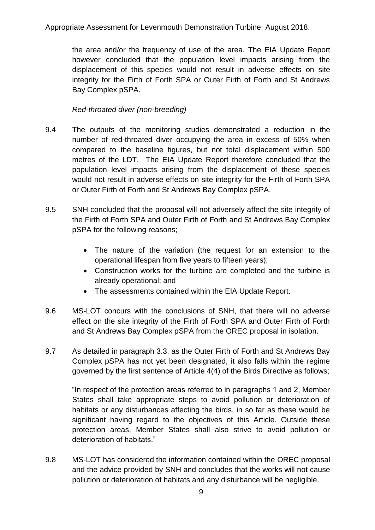the area and/or the frequency of use of the area. The EIA Update Report however concluded that the population level impacts arising from the displacement of this species would not result in adverse effects on site integrity for the Firth of Forth SPA or Outer Firth of Forth and St Andrews Bay Complex pSPA.

## *Red-throated diver (non-breeding)*

- 9.4 The outputs of the monitoring studies demonstrated a reduction in the number of red-throated diver occupying the area in excess of 50% when compared to the baseline figures, but not total displacement within 500 metres of the LDT. The EIA Update Report therefore concluded that the population level impacts arising from the displacement of these species would not result in adverse effects on site integrity for the Firth of Forth SPA or Outer Firth of Forth and St Andrews Bay Complex pSPA.
- 9.5 SNH concluded that the proposal will not adversely affect the site integrity of the Firth of Forth SPA and Outer Firth of Forth and St Andrews Bay Complex pSPA for the following reasons;
	- The nature of the variation (the request for an extension to the operational lifespan from five years to fifteen years);
	- Construction works for the turbine are completed and the turbine is already operational; and
	- The assessments contained within the EIA Update Report.
- 9.6 MS-LOT concurs with the conclusions of SNH, that there will no adverse effect on the site integrity of the Firth of Forth SPA and Outer Firth of Forth and St Andrews Bay Complex pSPA from the OREC proposal in isolation.
- 9.7 As detailed in paragraph 3.3, as the Outer Firth of Forth and St Andrews Bay Complex pSPA has not yet been designated, it also falls within the regime governed by the first sentence of Article 4(4) of the Birds Directive as follows;

"In respect of the protection areas referred to in paragraphs 1 and 2, Member States shall take appropriate steps to avoid pollution or deterioration of habitats or any disturbances affecting the birds, in so far as these would be significant having regard to the objectives of this Article. Outside these protection areas, Member States shall also strive to avoid pollution or deterioration of habitats."

9.8 MS-LOT has considered the information contained within the OREC proposal and the advice provided by SNH and concludes that the works will not cause pollution or deterioration of habitats and any disturbance will be negligible.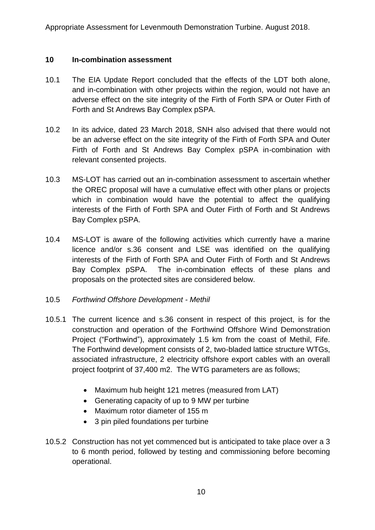### <span id="page-10-0"></span>**10 In-combination assessment**

- 10.1 The EIA Update Report concluded that the effects of the LDT both alone, and in-combination with other projects within the region, would not have an adverse effect on the site integrity of the Firth of Forth SPA or Outer Firth of Forth and St Andrews Bay Complex pSPA.
- 10.2 In its advice, dated 23 March 2018, SNH also advised that there would not be an adverse effect on the site integrity of the Firth of Forth SPA and Outer Firth of Forth and St Andrews Bay Complex pSPA in-combination with relevant consented projects.
- 10.3 MS-LOT has carried out an in-combination assessment to ascertain whether the OREC proposal will have a cumulative effect with other plans or projects which in combination would have the potential to affect the qualifying interests of the Firth of Forth SPA and Outer Firth of Forth and St Andrews Bay Complex pSPA.
- 10.4 MS-LOT is aware of the following activities which currently have a marine licence and/or s.36 consent and LSE was identified on the qualifying interests of the Firth of Forth SPA and Outer Firth of Forth and St Andrews Bay Complex pSPA. The in-combination effects of these plans and proposals on the protected sites are considered below.
- 10.5 *Forthwind Offshore Development - Methil*
- 10.5.1 The current licence and s.36 consent in respect of this project, is for the construction and operation of the Forthwind Offshore Wind Demonstration Project ("Forthwind"), approximately 1.5 km from the coast of Methil, Fife. The Forthwind development consists of 2, two-bladed lattice structure WTGs, associated infrastructure, 2 electricity offshore export cables with an overall project footprint of 37,400 m2. The WTG parameters are as follows;
	- Maximum hub height 121 metres (measured from LAT)
	- Generating capacity of up to 9 MW per turbine
	- Maximum rotor diameter of 155 m
	- 3 pin piled foundations per turbine
- 10.5.2 Construction has not yet commenced but is anticipated to take place over a 3 to 6 month period, followed by testing and commissioning before becoming operational.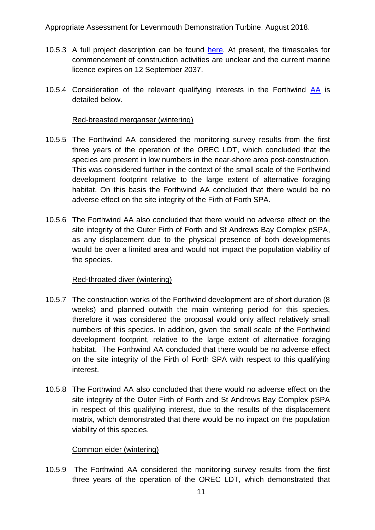- 10.5.3 A full project description can be found [here.](http://www.gov.scot/Topics/marine/Licensing/marine/scoping/FW-Methil) At present, the timescales for commencement of construction activities are unclear and the current marine licence expires on 12 September 2037.
- 10.5.4 Consideration of the relevant qualifying interests in the Forthwind [AA](http://www.gov.scot/Resource/0051/00511881.pdf) is detailed below.

### Red-breasted merganser (wintering)

- 10.5.5 The Forthwind AA considered the monitoring survey results from the first three years of the operation of the OREC LDT, which concluded that the species are present in low numbers in the near-shore area post-construction. This was considered further in the context of the small scale of the Forthwind development footprint relative to the large extent of alternative foraging habitat. On this basis the Forthwind AA concluded that there would be no adverse effect on the site integrity of the Firth of Forth SPA.
- 10.5.6 The Forthwind AA also concluded that there would no adverse effect on the site integrity of the Outer Firth of Forth and St Andrews Bay Complex pSPA, as any displacement due to the physical presence of both developments would be over a limited area and would not impact the population viability of the species.

### Red-throated diver (wintering)

- 10.5.7 The construction works of the Forthwind development are of short duration (8 weeks) and planned outwith the main wintering period for this species, therefore it was considered the proposal would only affect relatively small numbers of this species. In addition, given the small scale of the Forthwind development footprint, relative to the large extent of alternative foraging habitat. The Forthwind AA concluded that there would be no adverse effect on the site integrity of the Firth of Forth SPA with respect to this qualifying interest.
- 10.5.8 The Forthwind AA also concluded that there would no adverse effect on the site integrity of the Outer Firth of Forth and St Andrews Bay Complex pSPA in respect of this qualifying interest, due to the results of the displacement matrix, which demonstrated that there would be no impact on the population viability of this species.

## Common eider (wintering)

10.5.9 The Forthwind AA considered the monitoring survey results from the first three years of the operation of the OREC LDT, which demonstrated that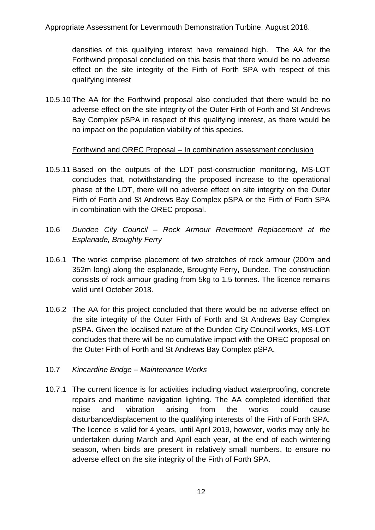densities of this qualifying interest have remained high. The AA for the Forthwind proposal concluded on this basis that there would be no adverse effect on the site integrity of the Firth of Forth SPA with respect of this qualifying interest

10.5.10 The AA for the Forthwind proposal also concluded that there would be no adverse effect on the site integrity of the Outer Firth of Forth and St Andrews Bay Complex pSPA in respect of this qualifying interest, as there would be no impact on the population viability of this species.

## Forthwind and OREC Proposal – In combination assessment conclusion

- 10.5.11 Based on the outputs of the LDT post-construction monitoring, MS-LOT concludes that, notwithstanding the proposed increase to the operational phase of the LDT, there will no adverse effect on site integrity on the Outer Firth of Forth and St Andrews Bay Complex pSPA or the Firth of Forth SPA in combination with the OREC proposal.
- 10.6 *Dundee City Council – Rock Armour Revetment Replacement at the Esplanade, Broughty Ferry*
- 10.6.1 The works comprise placement of two stretches of rock armour (200m and 352m long) along the esplanade, Broughty Ferry, Dundee. The construction consists of rock armour grading from 5kg to 1.5 tonnes. The licence remains valid until October 2018.
- 10.6.2 The AA for this project concluded that there would be no adverse effect on the site integrity of the Outer Firth of Forth and St Andrews Bay Complex pSPA. Given the localised nature of the Dundee City Council works, MS-LOT concludes that there will be no cumulative impact with the OREC proposal on the Outer Firth of Forth and St Andrews Bay Complex pSPA.
- 10.7 *Kincardine Bridge – Maintenance Works*
- 10.7.1 The current licence is for activities including viaduct waterproofing, concrete repairs and maritime navigation lighting. The AA completed identified that noise and vibration arising from the works could cause disturbance/displacement to the qualifying interests of the Firth of Forth SPA. The licence is valid for 4 years, until April 2019, however, works may only be undertaken during March and April each year, at the end of each wintering season, when birds are present in relatively small numbers, to ensure no adverse effect on the site integrity of the Firth of Forth SPA.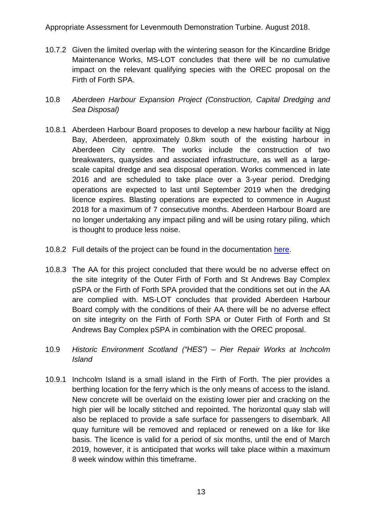- 10.7.2 Given the limited overlap with the wintering season for the Kincardine Bridge Maintenance Works, MS-LOT concludes that there will be no cumulative impact on the relevant qualifying species with the OREC proposal on the Firth of Forth SPA.
- 10.8 *Aberdeen Harbour Expansion Project (Construction, Capital Dredging and Sea Disposal)*
- 10.8.1 Aberdeen Harbour Board proposes to develop a new harbour facility at Nigg Bay, Aberdeen, approximately 0.8km south of the existing harbour in Aberdeen City centre. The works include the construction of two breakwaters, quaysides and associated infrastructure, as well as a largescale capital dredge and sea disposal operation. Works commenced in late 2016 and are scheduled to take place over a 3-year period. Dredging operations are expected to last until September 2019 when the dredging licence expires. Blasting operations are expected to commence in August 2018 for a maximum of 7 consecutive months. Aberdeen Harbour Board are no longer undertaking any impact piling and will be using rotary piling, which is thought to produce less noise.
- 10.8.2 Full details of the project can be found in the documentation [here.](http://www.gov.scot/Topics/marine/Licensing/marine/scoping/currentccnp/ahep)
- 10.8.3 The AA for this project concluded that there would be no adverse effect on the site integrity of the Outer Firth of Forth and St Andrews Bay Complex pSPA or the Firth of Forth SPA provided that the conditions set out in the AA are complied with. MS-LOT concludes that provided Aberdeen Harbour Board comply with the conditions of their AA there will be no adverse effect on site integrity on the Firth of Forth SPA or Outer Firth of Forth and St Andrews Bay Complex pSPA in combination with the OREC proposal.
- 10.9 *Historic Environment Scotland ("HES") – Pier Repair Works at Inchcolm Island*
- 10.9.1 Inchcolm Island is a small island in the Firth of Forth. The pier provides a berthing location for the ferry which is the only means of access to the island. New concrete will be overlaid on the existing lower pier and cracking on the high pier will be locally stitched and repointed. The horizontal quay slab will also be replaced to provide a safe surface for passengers to disembark. All quay furniture will be removed and replaced or renewed on a like for like basis. The licence is valid for a period of six months, until the end of March 2019, however, it is anticipated that works will take place within a maximum 8 week window within this timeframe.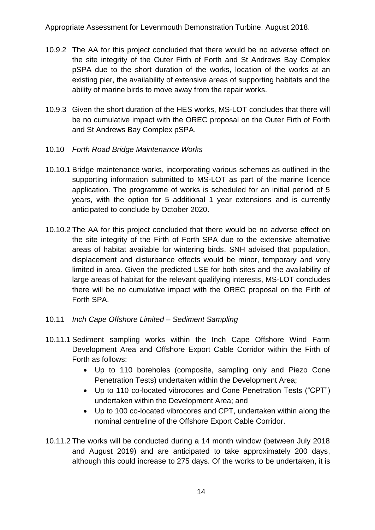- 10.9.2 The AA for this project concluded that there would be no adverse effect on the site integrity of the Outer Firth of Forth and St Andrews Bay Complex pSPA due to the short duration of the works, location of the works at an existing pier, the availability of extensive areas of supporting habitats and the ability of marine birds to move away from the repair works.
- 10.9.3 Given the short duration of the HES works, MS-LOT concludes that there will be no cumulative impact with the OREC proposal on the Outer Firth of Forth and St Andrews Bay Complex pSPA.
- 10.10 *Forth Road Bridge Maintenance Works*
- 10.10.1 Bridge maintenance works, incorporating various schemes as outlined in the supporting information submitted to MS-LOT as part of the marine licence application. The programme of works is scheduled for an initial period of 5 years, with the option for 5 additional 1 year extensions and is currently anticipated to conclude by October 2020.
- 10.10.2 The AA for this project concluded that there would be no adverse effect on the site integrity of the Firth of Forth SPA due to the extensive alternative areas of habitat available for wintering birds. SNH advised that population, displacement and disturbance effects would be minor, temporary and very limited in area. Given the predicted LSE for both sites and the availability of large areas of habitat for the relevant qualifying interests, MS-LOT concludes there will be no cumulative impact with the OREC proposal on the Firth of Forth SPA.
- 10.11 *Inch Cape Offshore Limited – Sediment Sampling*
- 10.11.1 Sediment sampling works within the Inch Cape Offshore Wind Farm Development Area and Offshore Export Cable Corridor within the Firth of Forth as follows:
	- Up to 110 boreholes (composite, sampling only and Piezo Cone Penetration Tests) undertaken within the Development Area;
	- Up to 110 co-located vibrocores and Cone Penetration Tests ("CPT") undertaken within the Development Area; and
	- Up to 100 co-located vibrocores and CPT, undertaken within along the nominal centreline of the Offshore Export Cable Corridor.
- 10.11.2 The works will be conducted during a 14 month window (between July 2018 and August 2019) and are anticipated to take approximately 200 days, although this could increase to 275 days. Of the works to be undertaken, it is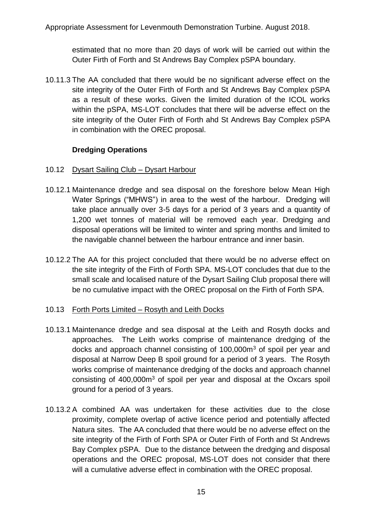estimated that no more than 20 days of work will be carried out within the Outer Firth of Forth and St Andrews Bay Complex pSPA boundary.

10.11.3 The AA concluded that there would be no significant adverse effect on the site integrity of the Outer Firth of Forth and St Andrews Bay Complex pSPA as a result of these works. Given the limited duration of the ICOL works within the pSPA, MS-LOT concludes that there will be adverse effect on the site integrity of the Outer Firth of Forth ahd St Andrews Bay Complex pSPA in combination with the OREC proposal.

## **Dredging Operations**

- 10.12 Dysart Sailing Club Dysart Harbour
- 10.12.1 Maintenance dredge and sea disposal on the foreshore below Mean High Water Springs ("MHWS") in area to the west of the harbour. Dredging will take place annually over 3-5 days for a period of 3 years and a quantity of 1,200 wet tonnes of material will be removed each year. Dredging and disposal operations will be limited to winter and spring months and limited to the navigable channel between the harbour entrance and inner basin.
- 10.12.2 The AA for this project concluded that there would be no adverse effect on the site integrity of the Firth of Forth SPA. MS-LOT concludes that due to the small scale and localised nature of the Dysart Sailing Club proposal there will be no cumulative impact with the OREC proposal on the Firth of Forth SPA.

## 10.13 Forth Ports Limited – Rosyth and Leith Docks

- 10.13.1 Maintenance dredge and sea disposal at the Leith and Rosyth docks and approaches. The Leith works comprise of maintenance dredging of the docks and approach channel consisting of 100,000m<sup>3</sup> of spoil per year and disposal at Narrow Deep B spoil ground for a period of 3 years. The Rosyth works comprise of maintenance dredging of the docks and approach channel consisting of  $400,000m<sup>3</sup>$  of spoil per year and disposal at the Oxcars spoil ground for a period of 3 years.
- 10.13.2 A combined AA was undertaken for these activities due to the close proximity, complete overlap of active licence period and potentially affected Natura sites. The AA concluded that there would be no adverse effect on the site integrity of the Firth of Forth SPA or Outer Firth of Forth and St Andrews Bay Complex pSPA. Due to the distance between the dredging and disposal operations and the OREC proposal, MS-LOT does not consider that there will a cumulative adverse effect in combination with the OREC proposal.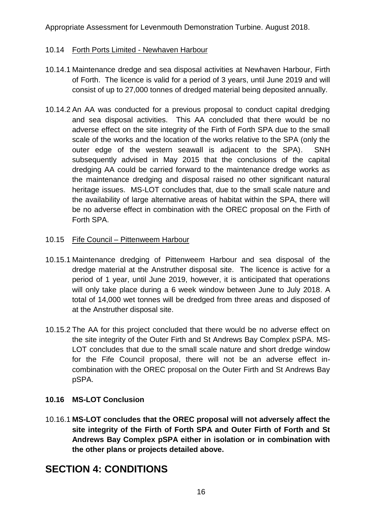## 10.14 Forth Ports Limited - Newhaven Harbour

- 10.14.1 Maintenance dredge and sea disposal activities at Newhaven Harbour, Firth of Forth. The licence is valid for a period of 3 years, until June 2019 and will consist of up to 27,000 tonnes of dredged material being deposited annually.
- 10.14.2 An AA was conducted for a previous proposal to conduct capital dredging and sea disposal activities. This AA concluded that there would be no adverse effect on the site integrity of the Firth of Forth SPA due to the small scale of the works and the location of the works relative to the SPA (only the outer edge of the western seawall is adjacent to the SPA). SNH subsequently advised in May 2015 that the conclusions of the capital dredging AA could be carried forward to the maintenance dredge works as the maintenance dredging and disposal raised no other significant natural heritage issues. MS-LOT concludes that, due to the small scale nature and the availability of large alternative areas of habitat within the SPA, there will be no adverse effect in combination with the OREC proposal on the Firth of Forth SPA.
- 10.15 Fife Council Pittenweem Harbour
- 10.15.1 Maintenance dredging of Pittenweem Harbour and sea disposal of the dredge material at the Anstruther disposal site. The licence is active for a period of 1 year, until June 2019, however, it is anticipated that operations will only take place during a 6 week window between June to July 2018. A total of 14,000 wet tonnes will be dredged from three areas and disposed of at the Anstruther disposal site.
- 10.15.2 The AA for this project concluded that there would be no adverse effect on the site integrity of the Outer Firth and St Andrews Bay Complex pSPA. MS-LOT concludes that due to the small scale nature and short dredge window for the Fife Council proposal, there will not be an adverse effect incombination with the OREC proposal on the Outer Firth and St Andrews Bay pSPA.

# **10.16 MS-LOT Conclusion**

10.16.1 **MS-LOT concludes that the OREC proposal will not adversely affect the site integrity of the Firth of Forth SPA and Outer Firth of Forth and St Andrews Bay Complex pSPA either in isolation or in combination with the other plans or projects detailed above.**

# <span id="page-16-0"></span>**SECTION 4: CONDITIONS**